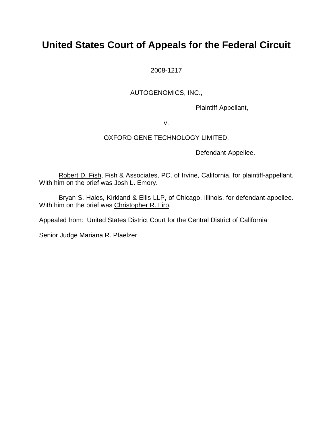# **United States Court of Appeals for the Federal Circuit**

2008-1217

## AUTOGENOMICS, INC.,

Plaintiff-Appellant,

v.

# OXFORD GENE TECHNOLOGY LIMITED,

Defendant-Appellee.

Robert D. Fish, Fish & Associates, PC, of Irvine, California, for plaintiff-appellant. With him on the brief was Josh L. Emory.

Bryan S. Hales, Kirkland & Ellis LLP, of Chicago, Illinois, for defendant-appellee. With him on the brief was Christopher R. Liro.

Appealed from: United States District Court for the Central District of California

Senior Judge Mariana R. Pfaelzer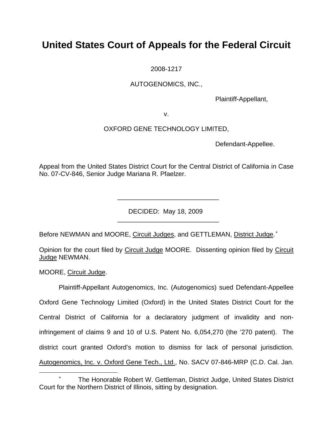# **United States Court of Appeals for the Federal Circuit**

2008-1217

## AUTOGENOMICS, INC.,

Plaintiff-Appellant,

v.

## OXFORD GENE TECHNOLOGY LIMITED,

Defendant-Appellee.

Appeal from the United States District Court for the Central District of California in Case No. 07-CV-846, Senior Judge Mariana R. Pfaelzer.

> DECIDED: May 18, 2009 \_\_\_\_\_\_\_\_\_\_\_\_\_\_\_\_\_\_\_\_\_\_\_\_\_\_\_\_

> \_\_\_\_\_\_\_\_\_\_\_\_\_\_\_\_\_\_\_\_\_\_\_\_\_\_\_\_

Before NEWMAN and MOORE, Circuit Judges, and GETTLEMAN, District Judge.<sup>\*</sup>

Opinion for the court filed by Circuit Judge MOORE. Dissenting opinion filed by Circuit Judge NEWMAN.

MOORE, Circuit Judge.

1

Plaintiff-Appellant Autogenomics, Inc. (Autogenomics) sued Defendant-Appellee Oxford Gene Technology Limited (Oxford) in the United States District Court for the Central District of California for a declaratory judgment of invalidity and noninfringement of claims 9 and 10 of U.S. Patent No. 6,054,270 (the '270 patent). The district court granted Oxford's motion to dismiss for lack of personal jurisdiction. Autogenomics, Inc. v. Oxford Gene Tech., Ltd., No. SACV 07-846-MRP (C.D. Cal. Jan.

<span id="page-1-0"></span><sup>∗</sup> The Honorable Robert W. Gettleman, District Judge, United States District Court for the Northern District of Illinois, sitting by designation.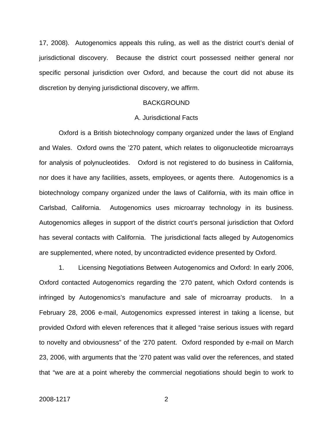17, 2008). Autogenomics appeals this ruling, as well as the district court's denial of jurisdictional discovery. Because the district court possessed neither general nor specific personal jurisdiction over Oxford, and because the court did not abuse its discretion by denying jurisdictional discovery, we affirm.

#### BACKGROUND

#### A. Jurisdictional Facts

Oxford is a British biotechnology company organized under the laws of England and Wales. Oxford owns the '270 patent, which relates to oligonucleotide microarrays for analysis of polynucleotides. Oxford is not registered to do business in California, nor does it have any facilities, assets, employees, or agents there. Autogenomics is a biotechnology company organized under the laws of California, with its main office in Carlsbad, California. Autogenomics uses microarray technology in its business. Autogenomics alleges in support of the district court's personal jurisdiction that Oxford has several contacts with California. The jurisdictional facts alleged by Autogenomics are supplemented, where noted, by uncontradicted evidence presented by Oxford.

1. Licensing Negotiations Between Autogenomics and Oxford: In early 2006, Oxford contacted Autogenomics regarding the '270 patent, which Oxford contends is infringed by Autogenomics's manufacture and sale of microarray products. In a February 28, 2006 e-mail, Autogenomics expressed interest in taking a license, but provided Oxford with eleven references that it alleged "raise serious issues with regard to novelty and obviousness" of the '270 patent. Oxford responded by e-mail on March 23, 2006, with arguments that the '270 patent was valid over the references, and stated that "we are at a point whereby the commercial negotiations should begin to work to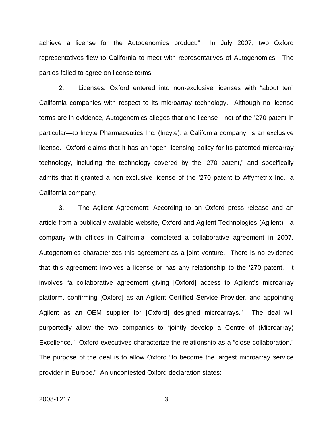achieve a license for the Autogenomics product." In July 2007, two Oxford representatives flew to California to meet with representatives of Autogenomics. The parties failed to agree on license terms.

2. Licenses: Oxford entered into non-exclusive licenses with "about ten" California companies with respect to its microarray technology. Although no license terms are in evidence, Autogenomics alleges that one license—not of the '270 patent in particular—to Incyte Pharmaceutics Inc. (Incyte), a California company, is an exclusive license. Oxford claims that it has an "open licensing policy for its patented microarray technology, including the technology covered by the '270 patent," and specifically admits that it granted a non-exclusive license of the '270 patent to Affymetrix Inc., a California company.

3. The Agilent Agreement: According to an Oxford press release and an article from a publically available website, Oxford and Agilent Technologies (Agilent)—a company with offices in California—completed a collaborative agreement in 2007. Autogenomics characterizes this agreement as a joint venture. There is no evidence that this agreement involves a license or has any relationship to the '270 patent. It involves "a collaborative agreement giving [Oxford] access to Agilent's microarray platform, confirming [Oxford] as an Agilent Certified Service Provider, and appointing Agilent as an OEM supplier for [Oxford] designed microarrays." The deal will purportedly allow the two companies to "jointly develop a Centre of (Microarray) Excellence." Oxford executives characterize the relationship as a "close collaboration." The purpose of the deal is to allow Oxford "to become the largest microarray service provider in Europe." An uncontested Oxford declaration states: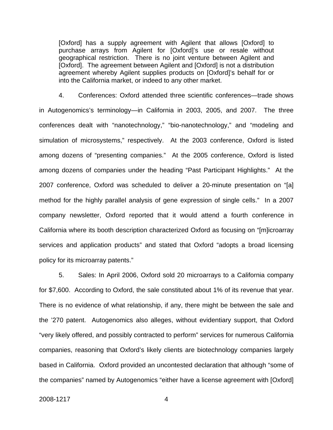[Oxford] has a supply agreement with Agilent that allows [Oxford] to purchase arrays from Agilent for [Oxford]'s use or resale without geographical restriction. There is no joint venture between Agilent and [Oxford]. The agreement between Agilent and [Oxford] is not a distribution agreement whereby Agilent supplies products on [Oxford]'s behalf for or into the California market, or indeed to any other market.

4. Conferences: Oxford attended three scientific conferences—trade shows in Autogenomics's terminology—in California in 2003, 2005, and 2007. The three conferences dealt with "nanotechnology," "bio-nanotechnology," and "modeling and simulation of microsystems," respectively. At the 2003 conference, Oxford is listed among dozens of "presenting companies." At the 2005 conference, Oxford is listed among dozens of companies under the heading "Past Participant Highlights." At the 2007 conference, Oxford was scheduled to deliver a 20-minute presentation on "[a] method for the highly parallel analysis of gene expression of single cells." In a 2007 company newsletter, Oxford reported that it would attend a fourth conference in California where its booth description characterized Oxford as focusing on "[m]icroarray services and application products" and stated that Oxford "adopts a broad licensing policy for its microarray patents."

5. Sales: In April 2006, Oxford sold 20 microarrays to a California company for \$7,600. According to Oxford, the sale constituted about 1% of its revenue that year. There is no evidence of what relationship, if any, there might be between the sale and the '270 patent. Autogenomics also alleges, without evidentiary support, that Oxford "very likely offered, and possibly contracted to perform" services for numerous California companies, reasoning that Oxford's likely clients are biotechnology companies largely based in California. Oxford provided an uncontested declaration that although "some of the companies" named by Autogenomics "either have a license agreement with [Oxford]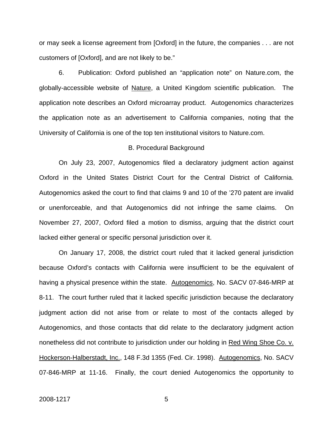or may seek a license agreement from [Oxford] in the future, the companies . . . are not customers of [Oxford], and are not likely to be."

6. Publication: Oxford published an "application note" on Nature.com, the globally-accessible website of Nature, a United Kingdom scientific publication. The application note describes an Oxford microarray product. Autogenomics characterizes the application note as an advertisement to California companies, noting that the University of California is one of the top ten institutional visitors to Nature.com.

#### B. Procedural Background

On July 23, 2007, Autogenomics filed a declaratory judgment action against Oxford in the United States District Court for the Central District of California. Autogenomics asked the court to find that claims 9 and 10 of the '270 patent are invalid or unenforceable, and that Autogenomics did not infringe the same claims. On November 27, 2007, Oxford filed a motion to dismiss, arguing that the district court lacked either general or specific personal jurisdiction over it.

On January 17, 2008, the district court ruled that it lacked general jurisdiction because Oxford's contacts with California were insufficient to be the equivalent of having a physical presence within the state. Autogenomics, No. SACV 07-846-MRP at 8-11. The court further ruled that it lacked specific jurisdiction because the declaratory judgment action did not arise from or relate to most of the contacts alleged by Autogenomics, and those contacts that did relate to the declaratory judgment action nonetheless did not contribute to jurisdiction under our holding in Red Wing Shoe Co. v. Hockerson-Halberstadt, Inc., 148 F.3d 1355 (Fed. Cir. 1998). Autogenomics, No. SACV 07-846-MRP at 11-16. Finally, the court denied Autogenomics the opportunity to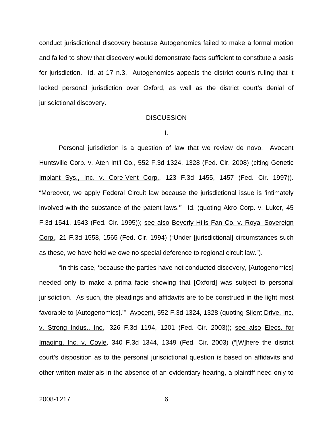conduct jurisdictional discovery because Autogenomics failed to make a formal motion and failed to show that discovery would demonstrate facts sufficient to constitute a basis for jurisdiction. Id. at 17 n.3. Autogenomics appeals the district court's ruling that it lacked personal jurisdiction over Oxford, as well as the district court's denial of jurisdictional discovery.

#### **DISCUSSION**

I.

Personal jurisdiction is a question of law that we review de novo. Avocent Huntsville Corp. v. Aten Int'l Co., 552 F.3d 1324, 1328 (Fed. Cir. 2008) (citing Genetic Implant Sys., Inc. v. Core-Vent Corp., 123 F.3d 1455, 1457 (Fed. Cir. 1997)). "Moreover, we apply Federal Circuit law because the jurisdictional issue is 'intimately involved with the substance of the patent laws." Id. (quoting Akro Corp. v. Luker, 45 F.3d 1541, 1543 (Fed. Cir. 1995)); see also Beverly Hills Fan Co. v. Royal Sovereign Corp., 21 F.3d 1558, 1565 (Fed. Cir. 1994) ("Under [jurisdictional] circumstances such as these, we have held we owe no special deference to regional circuit law.").

"In this case, 'because the parties have not conducted discovery, [Autogenomics] needed only to make a prima facie showing that [Oxford] was subject to personal jurisdiction. As such, the pleadings and affidavits are to be construed in the light most favorable to [Autogenomics]."" Avocent, 552 F.3d 1324, 1328 (quoting Silent Drive, Inc. v. Strong Indus., Inc., 326 F.3d 1194, 1201 (Fed. Cir. 2003)); see also Elecs. for Imaging, Inc. v. Coyle, 340 F.3d 1344, 1349 (Fed. Cir. 2003) ("[W]here the district court's disposition as to the personal jurisdictional question is based on affidavits and other written materials in the absence of an evidentiary hearing, a plaintiff need only to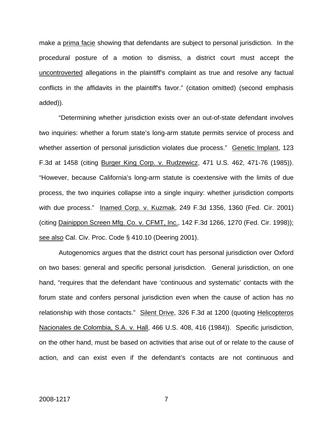make a prima facie showing that defendants are subject to personal jurisdiction. In the procedural posture of a motion to dismiss, a district court must accept the uncontroverted allegations in the plaintiff's complaint as true and resolve any factual conflicts in the affidavits in the plaintiff's favor." (citation omitted) (second emphasis added)).

"Determining whether jurisdiction exists over an out-of-state defendant involves two inquiries: whether a forum state's long-arm statute permits service of process and whether assertion of personal jurisdiction violates due process." Genetic Implant, 123 F.3d at 1458 (citing Burger King Corp. v. Rudzewicz, 471 U.S. 462, 471-76 (1985)). "However, because California's long-arm statute is coextensive with the limits of due process, the two inquiries collapse into a single inquiry: whether jurisdiction comports with due process." Inamed Corp. v. Kuzmak, 249 F.3d 1356, 1360 (Fed. Cir. 2001) (citing Dainippon Screen Mfg. Co. v. CFMT, Inc., 142 F.3d 1266, 1270 (Fed. Cir. 1998)); see also Cal. Civ. Proc. Code § 410.10 (Deering 2001).

Autogenomics argues that the district court has personal jurisdiction over Oxford on two bases: general and specific personal jurisdiction. General jurisdiction, on one hand, "requires that the defendant have 'continuous and systematic' contacts with the forum state and confers personal jurisdiction even when the cause of action has no relationship with those contacts." Silent Drive, 326 F.3d at 1200 (quoting Helicopteros Nacionales de Colombia, S.A. v. Hall, 466 U.S. 408, 416 (1984)). Specific jurisdiction, on the other hand, must be based on activities that arise out of or relate to the cause of action, and can exist even if the defendant's contacts are not continuous and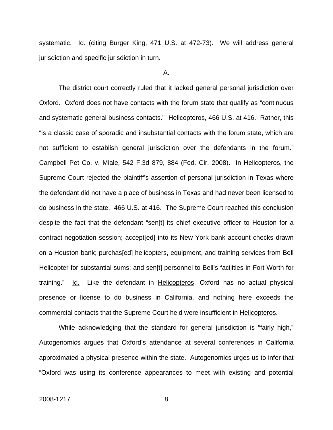systematic. Id. (citing Burger King, 471 U.S. at 472-73). We will address general jurisdiction and specific jurisdiction in turn.

#### A.

The district court correctly ruled that it lacked general personal jurisdiction over Oxford. Oxford does not have contacts with the forum state that qualify as "continuous and systematic general business contacts." Helicopteros, 466 U.S. at 416. Rather, this "is a classic case of sporadic and insubstantial contacts with the forum state, which are not sufficient to establish general jurisdiction over the defendants in the forum." Campbell Pet Co. v. Miale, 542 F.3d 879, 884 (Fed. Cir. 2008). In Helicopteros, the Supreme Court rejected the plaintiff's assertion of personal jurisdiction in Texas where the defendant did not have a place of business in Texas and had never been licensed to do business in the state. 466 U.S. at 416. The Supreme Court reached this conclusion despite the fact that the defendant "sen[t] its chief executive officer to Houston for a contract-negotiation session; accept[ed] into its New York bank account checks drawn on a Houston bank; purchas[ed] helicopters, equipment, and training services from Bell Helicopter for substantial sums; and sen[t] personnel to Bell's facilities in Fort Worth for training." Id. Like the defendant in Helicopteros, Oxford has no actual physical presence or license to do business in California, and nothing here exceeds the commercial contacts that the Supreme Court held were insufficient in Helicopteros.

While acknowledging that the standard for general jurisdiction is "fairly high," Autogenomics argues that Oxford's attendance at several conferences in California approximated a physical presence within the state. Autogenomics urges us to infer that "Oxford was using its conference appearances to meet with existing and potential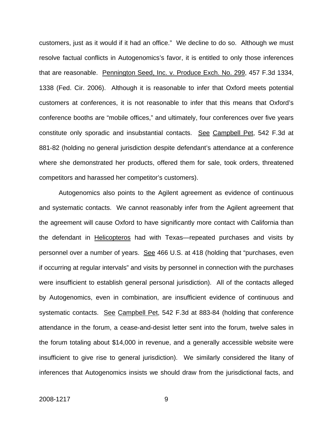customers, just as it would if it had an office." We decline to do so. Although we must resolve factual conflicts in Autogenomics's favor, it is entitled to only those inferences that are reasonable. Pennington Seed, Inc. v. Produce Exch. No. 299, 457 F.3d 1334, 1338 (Fed. Cir. 2006). Although it is reasonable to infer that Oxford meets potential customers at conferences, it is not reasonable to infer that this means that Oxford's conference booths are "mobile offices," and ultimately, four conferences over five years constitute only sporadic and insubstantial contacts. See Campbell Pet, 542 F.3d at 881-82 (holding no general jurisdiction despite defendant's attendance at a conference where she demonstrated her products, offered them for sale, took orders, threatened competitors and harassed her competitor's customers).

Autogenomics also points to the Agilent agreement as evidence of continuous and systematic contacts. We cannot reasonably infer from the Agilent agreement that the agreement will cause Oxford to have significantly more contact with California than the defendant in Helicopteros had with Texas—repeated purchases and visits by personnel over a number of years. See 466 U.S. at 418 (holding that "purchases, even if occurring at regular intervals" and visits by personnel in connection with the purchases were insufficient to establish general personal jurisdiction). All of the contacts alleged by Autogenomics, even in combination, are insufficient evidence of continuous and systematic contacts. See Campbell Pet, 542 F.3d at 883-84 (holding that conference attendance in the forum, a cease-and-desist letter sent into the forum, twelve sales in the forum totaling about \$14,000 in revenue, and a generally accessible website were insufficient to give rise to general jurisdiction). We similarly considered the litany of inferences that Autogenomics insists we should draw from the jurisdictional facts, and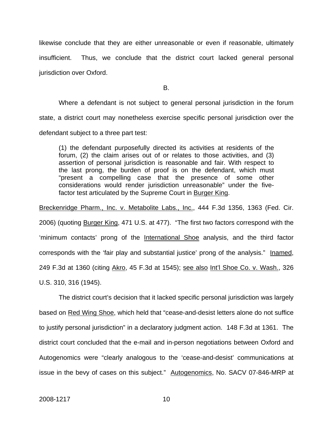likewise conclude that they are either unreasonable or even if reasonable, ultimately insufficient. Thus, we conclude that the district court lacked general personal jurisdiction over Oxford.

B.

 Where a defendant is not subject to general personal jurisdiction in the forum state, a district court may nonetheless exercise specific personal jurisdiction over the defendant subject to a three part test:

(1) the defendant purposefully directed its activities at residents of the forum, (2) the claim arises out of or relates to those activities, and (3) assertion of personal jurisdiction is reasonable and fair. With respect to the last prong, the burden of proof is on the defendant, which must "present a compelling case that the presence of some other considerations would render jurisdiction unreasonable" under the fivefactor test articulated by the Supreme Court in Burger King.

Breckenridge Pharm., Inc. v. Metabolite Labs., Inc., 444 F.3d 1356, 1363 (Fed. Cir.

2006) (quoting Burger King, 471 U.S. at 477). "The first two factors correspond with the 'minimum contacts' prong of the International Shoe analysis, and the third factor corresponds with the 'fair play and substantial justice' prong of the analysis." Inamed, 249 F.3d at 1360 (citing Akro, 45 F.3d at 1545); see also Int'l Shoe Co. v. Wash., 326 U.S. 310, 316 (1945).

 The district court's decision that it lacked specific personal jurisdiction was largely based on Red Wing Shoe, which held that "cease-and-desist letters alone do not suffice to justify personal jurisdiction" in a declaratory judgment action. 148 F.3d at 1361. The district court concluded that the e-mail and in-person negotiations between Oxford and Autogenomics were "clearly analogous to the 'cease-and-desist' communications at issue in the bevy of cases on this subject." Autogenomics, No. SACV 07-846-MRP at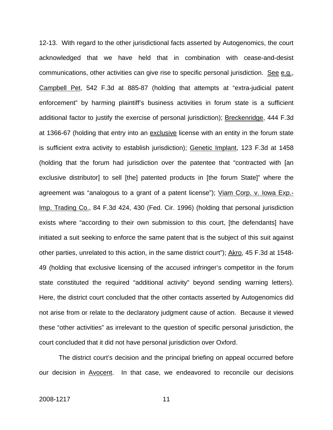12-13. With regard to the other jurisdictional facts asserted by Autogenomics, the court acknowledged that we have held that in combination with cease-and-desist communications, other activities can give rise to specific personal jurisdiction. See e.g., Campbell Pet, 542 F.3d at 885-87 (holding that attempts at "extra-judicial patent enforcement" by harming plaintiff's business activities in forum state is a sufficient additional factor to justify the exercise of personal jurisdiction); Breckenridge, 444 F.3d at 1366-67 (holding that entry into an exclusive license with an entity in the forum state is sufficient extra activity to establish jurisdiction); Genetic Implant, 123 F.3d at 1458 (holding that the forum had jurisdiction over the patentee that "contracted with [an exclusive distributor] to sell [the] patented products in [the forum State]" where the agreement was "analogous to a grant of a patent license"); Viam Corp. v. Iowa Exp.- Imp. Trading Co., 84 F.3d 424, 430 (Fed. Cir. 1996) (holding that personal jurisdiction exists where "according to their own submission to this court, [the defendants] have initiated a suit seeking to enforce the same patent that is the subject of this suit against other parties, unrelated to this action, in the same district court"); Akro, 45 F.3d at 1548- 49 (holding that exclusive licensing of the accused infringer's competitor in the forum state constituted the required "additional activity" beyond sending warning letters). Here, the district court concluded that the other contacts asserted by Autogenomics did not arise from or relate to the declaratory judgment cause of action. Because it viewed these "other activities" as irrelevant to the question of specific personal jurisdiction, the court concluded that it did not have personal jurisdiction over Oxford.

The district court's decision and the principal briefing on appeal occurred before our decision in Avocent. In that case, we endeavored to reconcile our decisions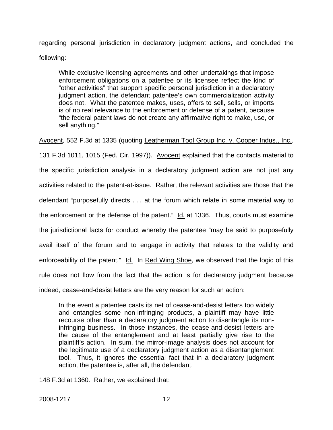regarding personal jurisdiction in declaratory judgment actions, and concluded the

following:

While exclusive licensing agreements and other undertakings that impose enforcement obligations on a patentee or its licensee reflect the kind of "other activities" that support specific personal jurisdiction in a declaratory judgment action, the defendant patentee's own commercialization activity does not. What the patentee makes, uses, offers to sell, sells, or imports is of no real relevance to the enforcement or defense of a patent, because "the federal patent laws do not create any affirmative right to make, use, or sell anything."

Avocent, 552 F.3d at 1335 (quoting Leatherman Tool Group Inc. v. Cooper Indus., Inc.,

131 F.3d 1011, 1015 (Fed. Cir. 1997)). Avocent explained that the contacts material to the specific jurisdiction analysis in a declaratory judgment action are not just any activities related to the patent-at-issue. Rather, the relevant activities are those that the defendant "purposefully directs . . . at the forum which relate in some material way to the enforcement or the defense of the patent."  $Id.$  at 1336. Thus, courts must examine the jurisdictional facts for conduct whereby the patentee "may be said to purposefully avail itself of the forum and to engage in activity that relates to the validity and enforceability of the patent." Id. In Red Wing Shoe, we observed that the logic of this rule does not flow from the fact that the action is for declaratory judgment because indeed, cease-and-desist letters are the very reason for such an action:

In the event a patentee casts its net of cease-and-desist letters too widely and entangles some non-infringing products, a plaintiff may have little recourse other than a declaratory judgment action to disentangle its noninfringing business. In those instances, the cease-and-desist letters are the cause of the entanglement and at least partially give rise to the plaintiff's action. In sum, the mirror-image analysis does not account for the legitimate use of a declaratory judgment action as a disentanglement tool. Thus, it ignores the essential fact that in a declaratory judgment action, the patentee is, after all, the defendant.

148 F.3d at 1360. Rather, we explained that: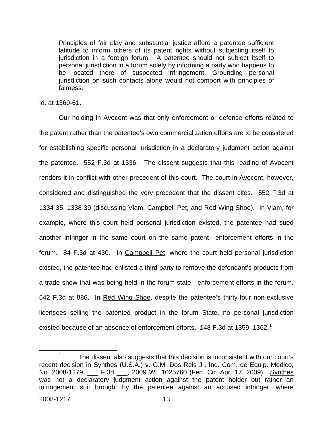Principles of fair play and substantial justice afford a patentee sufficient latitude to inform others of its patent rights without subjecting itself to jurisdiction in a foreign forum. A patentee should not subject itself to personal jurisdiction in a forum solely by informing a party who happens to be located there of suspected infringement. Grounding personal jurisdiction on such contacts alone would not comport with principles of fairness.

#### Id. at 1360-61.

Our holding in Avocent was that only enforcement or defense efforts related to the patent rather than the patentee's own commercialization efforts are to be considered for establishing specific personal jurisdiction in a declaratory judgment action against the patentee. 552 F.3d at 1336.The dissent suggests that this reading of Avocent renders it in conflict with other precedent of this court. The court in Avocent, however, considered and distinguished the very precedent that the dissent cites. 552 F.3d at 1334-35, 1338-39 (discussing Viam, Campbell Pet, and Red Wing Shoe). In Viam, for example, where this court held personal jurisdiction existed, the patentee had sued another infringer in the same court on the same patent—enforcement efforts in the forum. 84 F.3d at 430.In Campbell Pet, where the court held personal jurisdiction existed, the patentee had enlisted a third party to remove the defendant's products from a trade show that was being held in the forum state—enforcement efforts in the forum. 542 F.3d at 886. In Red Wing Shoe, despite the patentee's thirty-four non-exclusive licensees selling the patented product in the forum State, no personal jurisdiction existed because of an absence of enforcement efforts. [1](#page-13-0)48 F.3d at 1359, 1362.<sup>1</sup>

<span id="page-13-0"></span> <sup>1</sup> The dissent also suggests that this decision is inconsistent with our court's recent decision in Synthes (U.S.A.) v. G.M. Dos Reis Jr. Ind. Com. de Equip. Medico, No. 2008-1279, \_\_\_ F.3d \_\_\_, 2009 WL 1025760 (Fed. Cir. Apr. 17, 2009). Synthes was not a declaratory judgment action against the patent holder but rather an infringement suit brought by the patentee against an accused infringer, where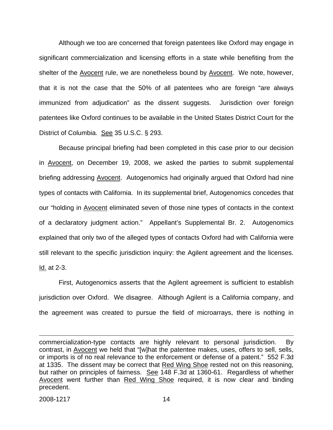Although we too are concerned that foreign patentees like Oxford may engage in significant commercialization and licensing efforts in a state while benefiting from the shelter of the Avocent rule, we are nonetheless bound by Avocent. We note, however, that it is not the case that the 50% of all patentees who are foreign "are always immunized from adjudication" as the dissent suggests. Jurisdiction over foreign patentees like Oxford continues to be available in the United States District Court for the District of Columbia. See 35 U.S.C. § 293.

Because principal briefing had been completed in this case prior to our decision in Avocent, on December 19, 2008, we asked the parties to submit supplemental briefing addressing Avocent. Autogenomics had originally argued that Oxford had nine types of contacts with California. In its supplemental brief, Autogenomics concedes that our "holding in Avocent eliminated seven of those nine types of contacts in the context of a declaratory judgment action." Appellant's Supplemental Br. 2. Autogenomics explained that only two of the alleged types of contacts Oxford had with California were still relevant to the specific jurisdiction inquiry: the Agilent agreement and the licenses. Id. at 2-3.

First, Autogenomics asserts that the Agilent agreement is sufficient to establish jurisdiction over Oxford. We disagree. Although Agilent is a California company, and the agreement was created to pursue the field of microarrays, there is nothing in

1

commercialization-type contacts are highly relevant to personal jurisdiction. By contrast, in Avocent we held that "[w]hat the patentee makes, uses, offers to sell, sells, or imports is of no real relevance to the enforcement or defense of a patent." 552 F.3d at 1335. The dissent may be correct that Red Wing Shoe rested not on this reasoning, but rather on principles of fairness. See 148 F.3d at 1360-61. Regardless of whether Avocent went further than Red Wing Shoe required, it is now clear and binding precedent.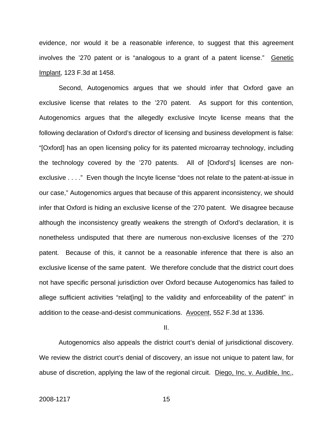evidence, nor would it be a reasonable inference, to suggest that this agreement involves the '270 patent or is "analogous to a grant of a patent license." Genetic Implant, 123 F.3d at 1458.

Second, Autogenomics argues that we should infer that Oxford gave an exclusive license that relates to the '270 patent. As support for this contention, Autogenomics argues that the allegedly exclusive Incyte license means that the following declaration of Oxford's director of licensing and business development is false: "[Oxford] has an open licensing policy for its patented microarray technology, including the technology covered by the '270 patents. All of [Oxford's] licenses are nonexclusive . . . ." Even though the Incyte license "does not relate to the patent-at-issue in our case," Autogenomics argues that because of this apparent inconsistency, we should infer that Oxford is hiding an exclusive license of the '270 patent. We disagree because although the inconsistency greatly weakens the strength of Oxford's declaration, it is nonetheless undisputed that there are numerous non-exclusive licenses of the '270 patent. Because of this, it cannot be a reasonable inference that there is also an exclusive license of the same patent. We therefore conclude that the district court does not have specific personal jurisdiction over Oxford because Autogenomics has failed to allege sufficient activities "relat[ing] to the validity and enforceability of the patent" in addition to the cease-and-desist communications. Avocent, 552 F.3d at 1336.

II.

 Autogenomics also appeals the district court's denial of jurisdictional discovery. We review the district court's denial of discovery, an issue not unique to patent law, for abuse of discretion, applying the law of the regional circuit. Diego, Inc. v. Audible, Inc.,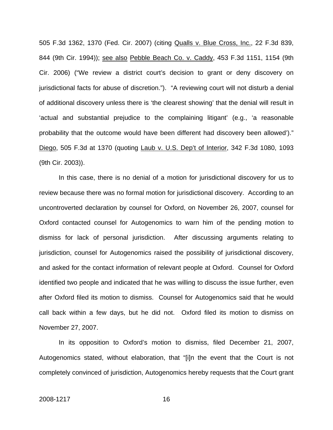505 F.3d 1362, 1370 (Fed. Cir. 2007) (citing Qualls v. Blue Cross, Inc., 22 F.3d 839, 844 (9th Cir. 1994)); see also Pebble Beach Co. v. Caddy, 453 F.3d 1151, 1154 (9th Cir. 2006) ("We review a district court's decision to grant or deny discovery on jurisdictional facts for abuse of discretion."). "A reviewing court will not disturb a denial of additional discovery unless there is 'the clearest showing' that the denial will result in 'actual and substantial prejudice to the complaining litigant' (e.g., 'a reasonable probability that the outcome would have been different had discovery been allowed')." Diego, 505 F.3d at 1370 (quoting Laub v. U.S. Dep't of Interior, 342 F.3d 1080, 1093 (9th Cir. 2003)).

 In this case, there is no denial of a motion for jurisdictional discovery for us to review because there was no formal motion for jurisdictional discovery. According to an uncontroverted declaration by counsel for Oxford, on November 26, 2007, counsel for Oxford contacted counsel for Autogenomics to warn him of the pending motion to dismiss for lack of personal jurisdiction. After discussing arguments relating to jurisdiction, counsel for Autogenomics raised the possibility of jurisdictional discovery, and asked for the contact information of relevant people at Oxford. Counsel for Oxford identified two people and indicated that he was willing to discuss the issue further, even after Oxford filed its motion to dismiss. Counsel for Autogenomics said that he would call back within a few days, but he did not. Oxford filed its motion to dismiss on November 27, 2007.

 In its opposition to Oxford's motion to dismiss, filed December 21, 2007, Autogenomics stated, without elaboration, that "[i]n the event that the Court is not completely convinced of jurisdiction, Autogenomics hereby requests that the Court grant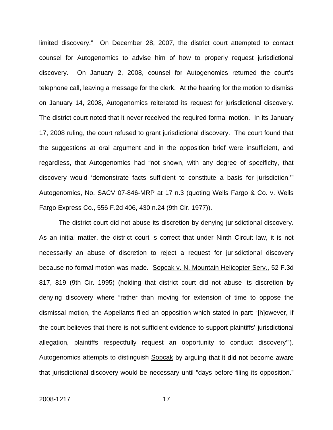limited discovery." On December 28, 2007, the district court attempted to contact counsel for Autogenomics to advise him of how to properly request jurisdictional discovery. On January 2, 2008, counsel for Autogenomics returned the court's telephone call, leaving a message for the clerk. At the hearing for the motion to dismiss on January 14, 2008, Autogenomics reiterated its request for jurisdictional discovery. The district court noted that it never received the required formal motion. In its January 17, 2008 ruling, the court refused to grant jurisdictional discovery. The court found that the suggestions at oral argument and in the opposition brief were insufficient, and regardless, that Autogenomics had "not shown, with any degree of specificity, that discovery would 'demonstrate facts sufficient to constitute a basis for jurisdiction.'" Autogenomics, No. SACV 07-846-MRP at 17 n.3 (quoting Wells Fargo & Co. v. Wells Fargo Express Co., 556 F.2d 406, 430 n.24 (9th Cir. 1977)).

The district court did not abuse its discretion by denying jurisdictional discovery. As an initial matter, the district court is correct that under Ninth Circuit law, it is not necessarily an abuse of discretion to reject a request for jurisdictional discovery because no formal motion was made. Sopcak v. N. Mountain Helicopter Serv., 52 F.3d 817, 819 (9th Cir. 1995) (holding that district court did not abuse its discretion by denying discovery where "rather than moving for extension of time to oppose the dismissal motion, the Appellants filed an opposition which stated in part: '[h]owever, if the court believes that there is not sufficient evidence to support plaintiffs' jurisdictional allegation, plaintiffs respectfully request an opportunity to conduct discovery'"). Autogenomics attempts to distinguish Sopcak by arguing that it did not become aware that jurisdictional discovery would be necessary until "days before filing its opposition."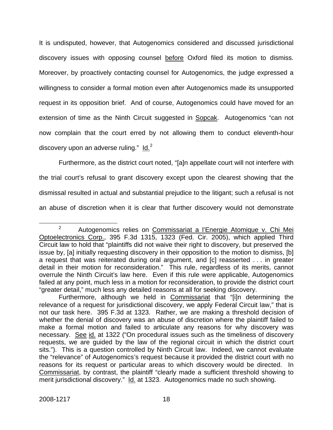It is undisputed, however, that Autogenomics considered and discussed jurisdictional discovery issues with opposing counsel before Oxford filed its motion to dismiss. Moreover, by proactively contacting counsel for Autogenomics, the judge expressed a willingness to consider a formal motion even after Autogenomics made its unsupported request in its opposition brief. And of course, Autogenomics could have moved for an extension of time as the Ninth Circuit suggested in Sopcak. Autogenomics "can not now complain that the court erred by not allowing them to conduct eleventh-hour discovery upon an adverse ruling."  $Id.<sup>2</sup>$  $Id.<sup>2</sup>$  $Id.<sup>2</sup>$ 

Furthermore, as the district court noted, "[a]n appellate court will not interfere with the trial court's refusal to grant discovery except upon the clearest showing that the dismissal resulted in actual and substantial prejudice to the litigant; such a refusal is not an abuse of discretion when it is clear that further discovery would not demonstrate

<span id="page-18-0"></span> $\frac{1}{2}$  Autogenomics relies on Commissariat a l'Energie Atomique v. Chi Mei Optoelectronics Corp., 395 F.3d 1315, 1323 (Fed. Cir. 2005), which applied Third Circuit law to hold that "plaintiffs did not waive their right to discovery, but preserved the issue by, [a] initially requesting discovery in their opposition to the motion to dismiss, [b] a request that was reiterated during oral argument, and [c] reasserted . . . in greater detail in their motion for reconsideration." This rule, regardless of its merits, cannot overrule the Ninth Circuit's law here. Even if this rule were applicable, Autogenomics failed at any point, much less in a motion for reconsideration, to provide the district court "greater detail," much less any detailed reasons at all for seeking discovery.

Furthermore, although we held in Commissariat that "[i]n determining the relevance of a request for jurisdictional discovery, we apply Federal Circuit law," that is not our task here. 395 F.3d at 1323. Rather, we are making a threshold decision of whether the denial of discovery was an abuse of discretion where the plaintiff failed to make a formal motion and failed to articulate any reasons for why discovery was necessary. See id. at 1322 ("On procedural issues such as the timeliness of discovery requests, we are guided by the law of the regional circuit in which the district court sits."). This is a question controlled by Ninth Circuit law. Indeed, we cannot evaluate the "relevance" of Autogenomics's request because it provided the district court with no reasons for its request or particular areas to which discovery would be directed. In Commissariat, by contrast, the plaintiff "clearly made a sufficient threshold showing to merit jurisdictional discovery." Id. at 1323. Autogenomics made no such showing.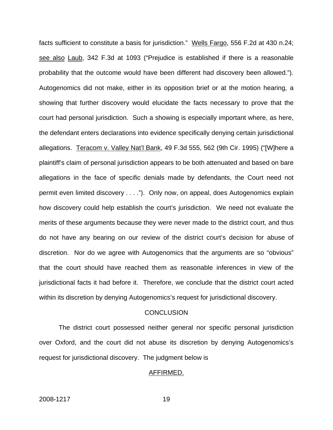facts sufficient to constitute a basis for jurisdiction." Wells Fargo, 556 F.2d at 430 n.24; see also Laub, 342 F.3d at 1093 ("Prejudice is established if there is a reasonable probability that the outcome would have been different had discovery been allowed."). Autogenomics did not make, either in its opposition brief or at the motion hearing, a showing that further discovery would elucidate the facts necessary to prove that the court had personal jurisdiction. Such a showing is especially important where, as here, the defendant enters declarations into evidence specifically denying certain jurisdictional allegations. Teracom v. Valley Nat'l Bank, 49 F.3d 555, 562 (9th Cir. 1995) ("[W]here a plaintiff's claim of personal jurisdiction appears to be both attenuated and based on bare allegations in the face of specific denials made by defendants, the Court need not permit even limited discovery . . . ."). Only now, on appeal, does Autogenomics explain how discovery could help establish the court's jurisdiction. We need not evaluate the merits of these arguments because they were never made to the district court, and thus do not have any bearing on our review of the district court's decision for abuse of discretion. Nor do we agree with Autogenomics that the arguments are so "obvious" that the court should have reached them as reasonable inferences in view of the jurisdictional facts it had before it. Therefore, we conclude that the district court acted within its discretion by denying Autogenomics's request for jurisdictional discovery.

#### **CONCLUSION**

The district court possessed neither general nor specific personal jurisdiction over Oxford, and the court did not abuse its discretion by denying Autogenomics's request for jurisdictional discovery. The judgment below is

#### AFFIRMED.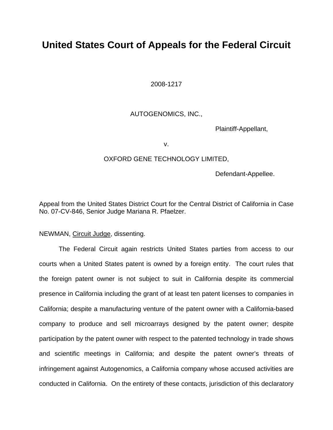# **United States Court of Appeals for the Federal Circuit**

2008-1217

### AUTOGENOMICS, INC.,

Plaintiff-Appellant,

v.

### OXFORD GENE TECHNOLOGY LIMITED,

Defendant-Appellee.

Appeal from the United States District Court for the Central District of California in Case No. 07-CV-846, Senior Judge Mariana R. Pfaelzer.

### [NEWMAN,](http://www.westlaw.com/Find/Default.wl?rs=dfa1.0&vr=2.0&DB=PROFILER-WLD&DocName=0245882601&FindType=h) Circuit Judge, dissenting.

The Federal Circuit again restricts United States parties from access to our courts when a United States patent is owned by a foreign entity. The court rules that the foreign patent owner is not subject to suit in California despite its commercial presence in California including the grant of at least ten patent licenses to companies in California; despite a manufacturing venture of the patent owner with a California-based company to produce and sell microarrays designed by the patent owner; despite participation by the patent owner with respect to the patented technology in trade shows and scientific meetings in California; and despite the patent owner's threats of infringement against Autogenomics, a California company whose accused activities are conducted in California. On the entirety of these contacts, jurisdiction of this declaratory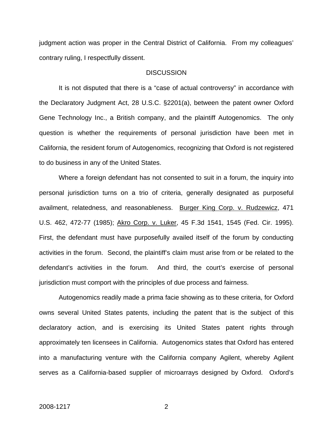judgment action was proper in the Central District of California. From my colleagues' contrary ruling, I respectfully dissent.

#### **DISCUSSION**

It is not disputed that there is a "case of actual controversy" in accordance with the Declaratory Judgment Act, 28 U.S.C. §2201(a), between the patent owner Oxford Gene Technology Inc., a British company, and the plaintiff Autogenomics. The only question is whether the requirements of personal jurisdiction have been met in California, the resident forum of Autogenomics, recognizing that Oxford is not registered to do business in any of the United States.

Where a foreign defendant has not consented to suit in a forum, the inquiry into personal jurisdiction turns on a trio of criteria, generally designated as purposeful availment, relatedness, and reasonableness. Burger King Corp. v. Rudzewicz, 471 U.S. 462, 472-77 (1985); Akro Corp. v. Luker, 45 F.3d 1541, 1545 (Fed. Cir. 1995). First, the defendant must have purposefully availed itself of the forum by conducting activities in the forum. Second, the plaintiff's claim must arise from or be related to the defendant's activities in the forum. And third, the court's exercise of personal jurisdiction must comport with the principles of due process and fairness.

Autogenomics readily made a prima facie showing as to these criteria, for Oxford owns several United States patents, including the patent that is the subject of this declaratory action, and is exercising its United States patent rights through approximately ten licensees in California. Autogenomics states that Oxford has entered into a manufacturing venture with the California company Agilent, whereby Agilent serves as a California-based supplier of microarrays designed by Oxford. Oxford's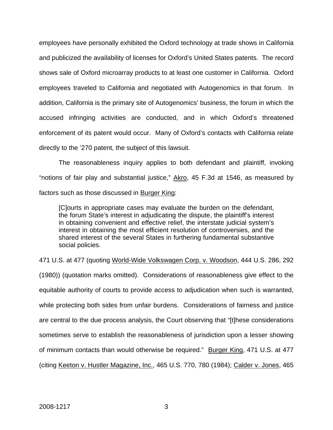employees have personally exhibited the Oxford technology at trade shows in California and publicized the availability of licenses for Oxford's United States patents. The record shows sale of Oxford microarray products to at least one customer in California. Oxford employees traveled to California and negotiated with Autogenomics in that forum. In addition, California is the primary site of Autogenomics' business, the forum in which the accused infringing activities are conducted, and in which Oxford's threatened enforcement of its patent would occur. Many of Oxford's contacts with California relate directly to the '270 patent, the subject of this lawsuit.

The reasonableness inquiry applies to both defendant and plaintiff, invoking "notions of fair play and substantial justice," Akro, 45 F.3d at 1546, as measured by factors such as those discussed in Burger King:

[C]ourts in appropriate cases may evaluate the burden on the defendant, the forum State's interest in adjudicating the dispute, the plaintiff's interest in obtaining convenient and effective relief, the interstate judicial system's interest in obtaining the most efficient resolution of controversies, and the shared interest of the several States in furthering fundamental substantive social policies.

471 U.S. at 477 (quoting World-Wide Volkswagen Corp. v. Woodson, 444 U.S. 286, 292

(1980)) (quotation marks omitted). Considerations of reasonableness give effect to the equitable authority of courts to provide access to adjudication when such is warranted, while protecting both sides from unfair burdens. Considerations of fairness and justice are central to the due process analysis, the Court observing that "[t]hese considerations sometimes serve to establish the reasonableness of jurisdiction upon a lesser showing of minimum contacts than would otherwise be required." Burger King, 471 U.S. at 477 (citing Keeton v. Hustler Magazine, Inc., 465 U.S. 770, 780 (1984); Calder v. Jones, 465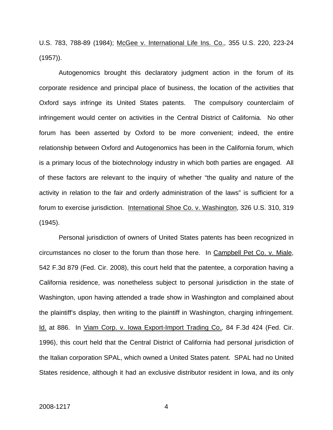U.S. 783, 788-89 (1984); McGee v. International Life Ins. Co., 355 U.S. 220, 223-24 (1957)).

Autogenomics brought this declaratory judgment action in the forum of its corporate residence and principal place of business, the location of the activities that Oxford says infringe its United States patents. The compulsory counterclaim of infringement would center on activities in the Central District of California. No other forum has been asserted by Oxford to be more convenient; indeed, the entire relationship between Oxford and Autogenomics has been in the California forum, which is a primary locus of the biotechnology industry in which both parties are engaged. All of these factors are relevant to the inquiry of whether "the quality and nature of the activity in relation to the fair and orderly administration of the laws" is sufficient for a forum to exercise jurisdiction. International Shoe Co. v. Washington, 326 U.S. 310, 319 (1945).

Personal jurisdiction of owners of United States patents has been recognized in circumstances no closer to the forum than those here. In Campbell Pet Co. v. Miale, 542 F.3d 879 (Fed. Cir. 2008), this court held that the patentee, a corporation having a California residence, was nonetheless subject to personal jurisdiction in the state of Washington, upon having attended a trade show in Washington and complained about the plaintiff's display, then writing to the plaintiff in Washington, charging infringement. Id. at 886. In Viam Corp. v. Iowa Export-Import Trading Co.*,* 84 F.3d 424 (Fed. Cir. 1996), this court held that the Central District of California had personal jurisdiction of the Italian corporation SPAL, which owned a United States patent. SPAL had no United States residence, although it had an exclusive distributor resident in Iowa, and its only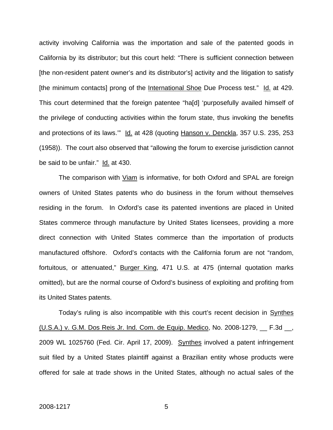activity involving California was the importation and sale of the patented goods in California by its distributor; but this court held: "There is sufficient connection between [the non-resident patent owner's and its distributor's] activity and the litigation to satisfy [the minimum contacts] prong of the International Shoe Due Process test." Id. at 429. This court determined that the foreign patentee "ha[d] 'purposefully availed himself of the privilege of conducting activities within the forum state, thus invoking the benefits and protections of its laws.'" Id. at 428 (quoting Hanson v. Denckla, 357 U.S. 235, 253 (1958)). The court also observed that "allowing the forum to exercise jurisdiction cannot be said to be unfair." Id. at 430.

The comparison with Viam is informative, for both Oxford and SPAL are foreign owners of United States patents who do business in the forum without themselves residing in the forum. In Oxford's case its patented inventions are placed in United States commerce through manufacture by United States licensees, providing a more direct connection with United States commerce than the importation of products manufactured offshore. Oxford's contacts with the California forum are not "random, fortuitous, or attenuated," Burger King, 471 U.S. at 475 (internal quotation marks omitted), but are the normal course of Oxford's business of exploiting and profiting from its United States patents.

Today's ruling is also incompatible with this court's recent decision in Synthes (U.S.A.) v. G.M. Dos Reis Jr. Ind. Com. de Equip. Medico, No. 2008-1279, \_\_ F.3d \_\_, 2009 WL 1025760 (Fed. Cir. April 17, 2009). Synthes involved a patent infringement suit filed by a United States plaintiff against a Brazilian entity whose products were offered for sale at trade shows in the United States, although no actual sales of the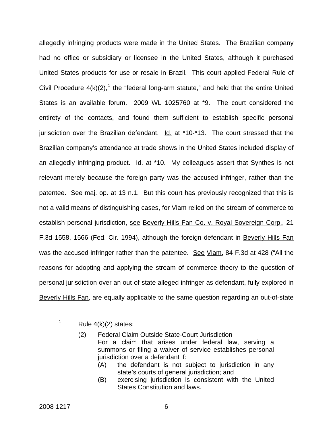allegedly infringing products were made in the United States. The Brazilian company had no office or subsidiary or licensee in the United States, although it purchased United States products for use or resale in Brazil. This court applied Federal Rule of Civil Procedure  $4(k)(2)$ ,<sup>[1](#page-25-0)</sup> the "federal long-arm statute," and held that the entire United States is an available forum. 2009 WL 1025760 at \*9. The court considered the entirety of the contacts, and found them sufficient to establish specific personal jurisdiction over the Brazilian defendant. Id. at \*10-\*13. The court stressed that the Brazilian company's attendance at trade shows in the United States included display of an allegedly infringing product. Id. at \*10. My colleagues assert that Synthes is not relevant merely because the foreign party was the accused infringer, rather than the patentee. See maj. op. at 13 n.1. But this court has previously recognized that this is not a valid means of distinguishing cases, for Viam relied on the stream of commerce to establish personal jurisdiction, see Beverly Hills Fan Co. v. Royal Sovereign Corp., 21 F.3d 1558, 1566 (Fed. Cir. 1994), although the foreign defendant in Beverly Hills Fan was the accused infringer rather than the patentee. See Viam, 84 F.3d at 428 ("All the reasons for adopting and applying the stream of commerce theory to the question of personal jurisdiction over an out-of-state alleged infringer as defendant, fully explored in Beverly Hills Fan, are equally applicable to the same question regarding an out-of-state

<span id="page-25-0"></span> $\frac{1}{1}$ 

<sup>&</sup>lt;sup>1</sup> Rule  $4(k)(2)$  states:

<sup>(2)</sup> Federal Claim Outside State-Court Jurisdiction For a claim that arises under federal law, serving a summons or filing a waiver of service establishes personal jurisdiction over a defendant if:

<sup>(</sup>A) the defendant is not subject to jurisdiction in any state's courts of general jurisdiction; and

<sup>(</sup>B) exercising jurisdiction is consistent with the United States Constitution and laws.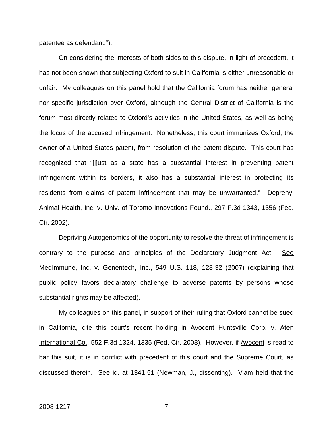patentee as defendant.").

On considering the interests of both sides to this dispute, in light of precedent, it has not been shown that subjecting Oxford to suit in California is either unreasonable or unfair. My colleagues on this panel hold that the California forum has neither general nor specific jurisdiction over Oxford, although the Central District of California is the forum most directly related to Oxford's activities in the United States, as well as being the locus of the accused infringement. Nonetheless, this court immunizes Oxford, the owner of a United States patent, from resolution of the patent dispute. This court has recognized that "[j]ust as a state has a substantial interest in preventing patent infringement within its borders, it also has a substantial interest in protecting its residents from claims of patent infringement that may be unwarranted." Deprenyl Animal Health, Inc. v. Univ. of Toronto Innovations Found., 297 F.3d 1343, 1356 (Fed. Cir. 2002).

Depriving Autogenomics of the opportunity to resolve the threat of infringement is contrary to the purpose and principles of the Declaratory Judgment Act. See MedImmune, Inc. v. Genentech, Inc., 549 U.S. 118, 128-32 (2007) (explaining that public policy favors declaratory challenge to adverse patents by persons whose substantial rights may be affected).

My colleagues on this panel, in support of their ruling that Oxford cannot be sued in California, cite this court's recent holding in Avocent Huntsville Corp. v. Aten International Co., 552 F.3d 1324, 1335 (Fed. Cir. 2008). However, if Avocent is read to bar this suit, it is in conflict with precedent of this court and the Supreme Court, as discussed therein. See id. at 1341-51 (Newman, J., dissenting). Viam held that the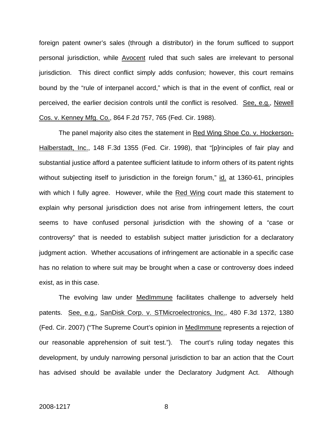foreign patent owner's sales (through a distributor) in the forum sufficed to support personal jurisdiction, while Avocent ruled that such sales are irrelevant to personal jurisdiction. This direct conflict simply adds confusion; however, this court remains bound by the "rule of interpanel accord," which is that in the event of conflict, real or perceived, the earlier decision controls until the conflict is resolved. See, e.g., Newell Cos. v. Kenney Mfg. Co., 864 F.2d 757, 765 (Fed. Cir. 1988).

The panel majority also cites the statement in Red Wing Shoe Co. v. Hockerson-Halberstadt, Inc., 148 F.3d 1355 (Fed. Cir. 1998), that "[p]rinciples of fair play and substantial justice afford a patentee sufficient latitude to inform others of its patent rights without subjecting itself to jurisdiction in the foreign forum," id. at 1360-61, principles with which I fully agree. However, while the Red Wing court made this statement to explain why personal jurisdiction does not arise from infringement letters, the court seems to have confused personal jurisdiction with the showing of a "case or controversy" that is needed to establish subject matter jurisdiction for a declaratory judgment action. Whether accusations of infringement are actionable in a specific case has no relation to where suit may be brought when a case or controversy does indeed exist, as in this case.

The evolving law under MedImmune facilitates challenge to adversely held patents. See, e.g., SanDisk Corp. v. STMicroelectronics, Inc., 480 F.3d 1372, 1380 (Fed. Cir. 2007) ("The Supreme Court's opinion in MedImmune represents a rejection of our reasonable apprehension of suit test."). The court's ruling today negates this development, by unduly narrowing personal jurisdiction to bar an action that the Court has advised should be available under the Declaratory Judgment Act. Although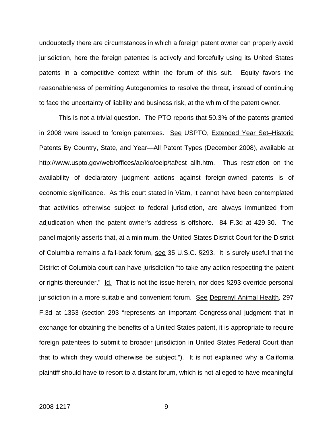undoubtedly there are circumstances in which a foreign patent owner can properly avoid jurisdiction, here the foreign patentee is actively and forcefully using its United States patents in a competitive context within the forum of this suit. Equity favors the reasonableness of permitting Autogenomics to resolve the threat, instead of continuing to face the uncertainty of liability and business risk, at the whim of the patent owner.

This is not a trivial question. The PTO reports that 50.3% of the patents granted in 2008 were issued to foreign patentees. See USPTO, Extended Year Set–Historic Patents By Country, State, and Year—All Patent Types (December 2008), available at http://www.uspto.gov/web/offices/ac/ido/oeip/taf/cst\_allh.htm. Thus restriction on the availability of declaratory judgment actions against foreign-owned patents is of economic significance. As this court stated in Viam, it cannot have been contemplated that activities otherwise subject to federal jurisdiction, are always immunized from adjudication when the patent owner's address is offshore. 84 F.3d at 429-30. The panel majority asserts that, at a minimum, the United States District Court for the District of Columbia remains a fall-back forum, see 35 U.S.C. §293. It is surely useful that the District of Columbia court can have jurisdiction "to take any action respecting the patent or rights thereunder." Id. That is not the issue herein, nor does §293 override personal jurisdiction in a more suitable and convenient forum. See Deprenyl Animal Health, 297 F.3d at 1353 (section 293 "represents an important Congressional judgment that in exchange for obtaining the benefits of a United States patent, it is appropriate to require foreign patentees to submit to broader jurisdiction in United States Federal Court than that to which they would otherwise be subject."). It is not explained why a California plaintiff should have to resort to a distant forum, which is not alleged to have meaningful